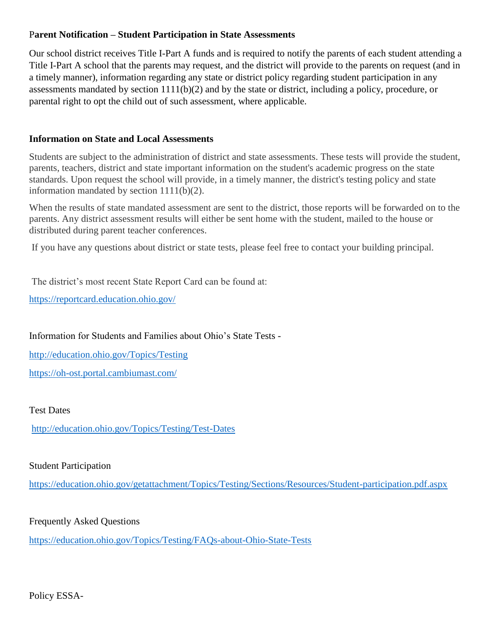## P**arent Notification – Student Participation in State Assessments**

Our school district receives Title I-Part A funds and is required to notify the parents of each student attending a Title I-Part A school that the parents may request, and the district will provide to the parents on request (and in a timely manner), information regarding any state or district policy regarding student participation in any assessments mandated by section 1111(b)(2) and by the state or district, including a policy, procedure, or parental right to opt the child out of such assessment, where applicable.

## **Information on State and Local Assessments**

Students are subject to the administration of district and state assessments. These tests will provide the student, parents, teachers, district and state important information on the student's academic progress on the state standards. Upon request the school will provide, in a timely manner, the district's testing policy and state information mandated by section 1111(b)(2).

When the results of state mandated assessment are sent to the district, those reports will be forwarded on to the parents. Any district assessment results will either be sent home with the student, mailed to the house or distributed during parent teacher conferences.

If you have any questions about district or state tests, please feel free to contact your building principal.

The district's most recent State Report Card can be found at:

<https://reportcard.education.ohio.gov/>

Information for Students and Families about Ohio's State Tests -

<http://education.ohio.gov/Topics/Testing> <https://oh-ost.portal.cambiumast.com/>

Test Dates

<http://education.ohio.gov/Topics/Testing/Test-Dates>

## Student Participation

<https://education.ohio.gov/getattachment/Topics/Testing/Sections/Resources/Student-participation.pdf.aspx>

## Frequently Asked Questions

<https://education.ohio.gov/Topics/Testing/FAQs-about-Ohio-State-Tests>